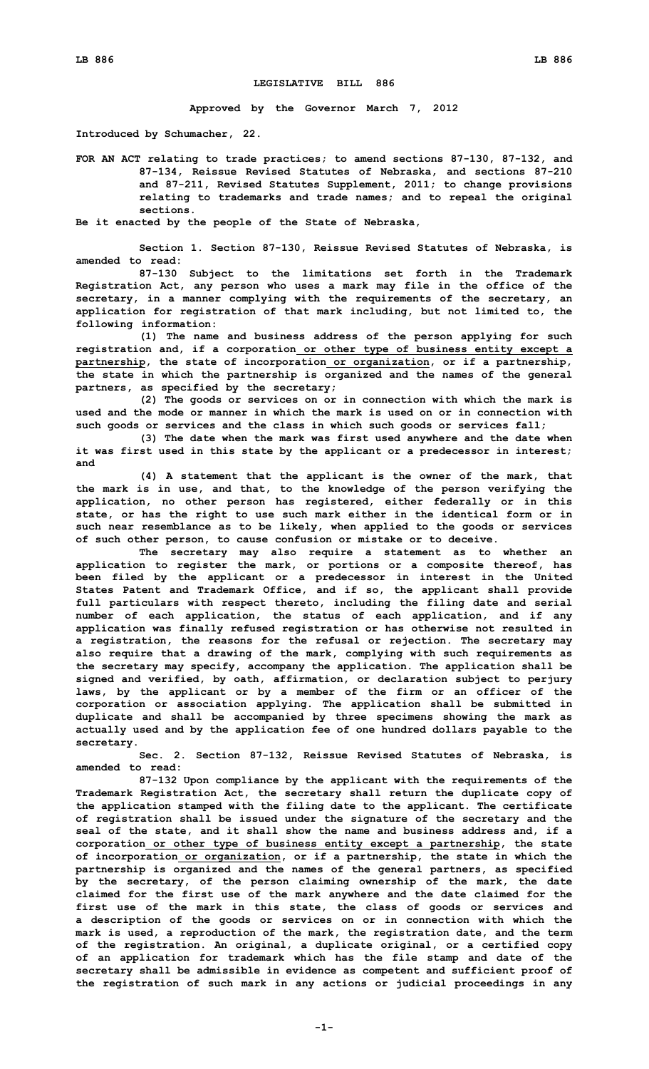## **LEGISLATIVE BILL 886**

**Approved by the Governor March 7, 2012**

**Introduced by Schumacher, 22.**

**FOR AN ACT relating to trade practices; to amend sections 87-130, 87-132, and 87-134, Reissue Revised Statutes of Nebraska, and sections 87-210 and 87-211, Revised Statutes Supplement, 2011; to change provisions relating to trademarks and trade names; and to repeal the original sections.**

**Be it enacted by the people of the State of Nebraska,**

**Section 1. Section 87-130, Reissue Revised Statutes of Nebraska, is amended to read:**

**87-130 Subject to the limitations set forth in the Trademark Registration Act, any person who uses <sup>a</sup> mark may file in the office of the secretary, in <sup>a</sup> manner complying with the requirements of the secretary, an application for registration of that mark including, but not limited to, the following information:**

**(1) The name and business address of the person applying for such registration and, if <sup>a</sup> corporation or other type of business entity except <sup>a</sup> partnership, the state of incorporation or organization, or if <sup>a</sup> partnership, the state in which the partnership is organized and the names of the general partners, as specified by the secretary;**

**(2) The goods or services on or in connection with which the mark is used and the mode or manner in which the mark is used on or in connection with such goods or services and the class in which such goods or services fall;**

**(3) The date when the mark was first used anywhere and the date when it was first used in this state by the applicant or <sup>a</sup> predecessor in interest; and**

**(4) <sup>A</sup> statement that the applicant is the owner of the mark, that the mark is in use, and that, to the knowledge of the person verifying the application, no other person has registered, either federally or in this state, or has the right to use such mark either in the identical form or in such near resemblance as to be likely, when applied to the goods or services of such other person, to cause confusion or mistake or to deceive.**

**The secretary may also require <sup>a</sup> statement as to whether an application to register the mark, or portions or <sup>a</sup> composite thereof, has been filed by the applicant or <sup>a</sup> predecessor in interest in the United States Patent and Trademark Office, and if so, the applicant shall provide full particulars with respect thereto, including the filing date and serial number of each application, the status of each application, and if any application was finally refused registration or has otherwise not resulted in <sup>a</sup> registration, the reasons for the refusal or rejection. The secretary may also require that <sup>a</sup> drawing of the mark, complying with such requirements as the secretary may specify, accompany the application. The application shall be signed and verified, by oath, affirmation, or declaration subject to perjury laws, by the applicant or by <sup>a</sup> member of the firm or an officer of the corporation or association applying. The application shall be submitted in duplicate and shall be accompanied by three specimens showing the mark as actually used and by the application fee of one hundred dollars payable to the secretary.**

**Sec. 2. Section 87-132, Reissue Revised Statutes of Nebraska, is amended to read:**

**87-132 Upon compliance by the applicant with the requirements of the Trademark Registration Act, the secretary shall return the duplicate copy of the application stamped with the filing date to the applicant. The certificate of registration shall be issued under the signature of the secretary and the seal of the state, and it shall show the name and business address and, if <sup>a</sup> corporation or other type of business entity except <sup>a</sup> partnership, the state of incorporation or organization, or if <sup>a</sup> partnership, the state in which the partnership is organized and the names of the general partners, as specified by the secretary, of the person claiming ownership of the mark, the date claimed for the first use of the mark anywhere and the date claimed for the first use of the mark in this state, the class of goods or services and <sup>a</sup> description of the goods or services on or in connection with which the mark is used, <sup>a</sup> reproduction of the mark, the registration date, and the term of the registration. An original, <sup>a</sup> duplicate original, or <sup>a</sup> certified copy of an application for trademark which has the file stamp and date of the secretary shall be admissible in evidence as competent and sufficient proof of the registration of such mark in any actions or judicial proceedings in any**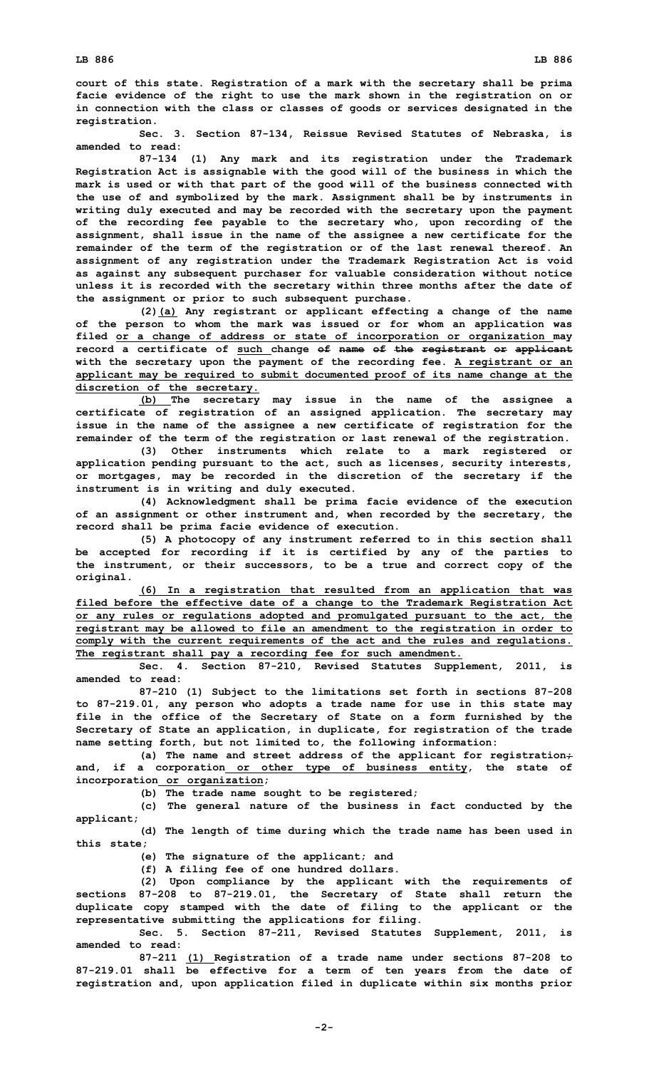**court of this state. Registration of <sup>a</sup> mark with the secretary shall be prima facie evidence of the right to use the mark shown in the registration on or in connection with the class or classes of goods or services designated in the registration.**

**Sec. 3. Section 87-134, Reissue Revised Statutes of Nebraska, is amended to read:**

**87-134 (1) Any mark and its registration under the Trademark Registration Act is assignable with the good will of the business in which the mark is used or with that part of the good will of the business connected with the use of and symbolized by the mark. Assignment shall be by instruments in writing duly executed and may be recorded with the secretary upon the payment of the recording fee payable to the secretary who, upon recording of the assignment, shall issue in the name of the assignee <sup>a</sup> new certificate for the remainder of the term of the registration or of the last renewal thereof. An assignment of any registration under the Trademark Registration Act is void as against any subsequent purchaser for valuable consideration without notice unless it is recorded with the secretary within three months after the date of the assignment or prior to such subsequent purchase.**

**(2)(a) Any registrant or applicant effecting <sup>a</sup> change of the name of the person to whom the mark was issued or for whom an application was filed or <sup>a</sup> change of address or state of incorporation or organization may record <sup>a</sup> certificate of such change of name of the registrant or applicant with the secretary upon the payment of the recording fee. A registrant or an applicant may be required to submit documented proof of its name change at the discretion of the secretary.**

**(b) The secretary may issue in the name of the assignee <sup>a</sup> certificate of registration of an assigned application. The secretary may issue in the name of the assignee <sup>a</sup> new certificate of registration for the remainder of the term of the registration or last renewal of the registration.**

**(3) Other instruments which relate to <sup>a</sup> mark registered or application pending pursuant to the act, such as licenses, security interests, or mortgages, may be recorded in the discretion of the secretary if the instrument is in writing and duly executed.**

**(4) Acknowledgment shall be prima facie evidence of the execution of an assignment or other instrument and, when recorded by the secretary, the record shall be prima facie evidence of execution.**

**(5) <sup>A</sup> photocopy of any instrument referred to in this section shall be accepted for recording if it is certified by any of the parties to the instrument, or their successors, to be <sup>a</sup> true and correct copy of the original.**

**(6) In <sup>a</sup> registration that resulted from an application that was filed before the effective date of <sup>a</sup> change to the Trademark Registration Act or any rules or regulations adopted and promulgated pursuant to the act, the registrant may be allowed to file an amendment to the registration in order to comply with the current requirements of the act and the rules and regulations. The registrant shall pay <sup>a</sup> recording fee for such amendment.**

**Sec. 4. Section 87-210, Revised Statutes Supplement, 2011, is amended to read:**

**87-210 (1) Subject to the limitations set forth in sections 87-208 to 87-219.01, any person who adopts <sup>a</sup> trade name for use in this state may file in the office of the Secretary of State on <sup>a</sup> form furnished by the Secretary of State an application, in duplicate, for registration of the trade name setting forth, but not limited to, the following information:**

**(a) The name and street address of the applicant for registration; and, if <sup>a</sup> corporation or other type of business entity, the state of incorporation or organization;**

**(b) The trade name sought to be registered;**

**(c) The general nature of the business in fact conducted by the applicant;**

**(d) The length of time during which the trade name has been used in this state;**

**(e) The signature of the applicant; and**

**(f) <sup>A</sup> filing fee of one hundred dollars.**

**(2) Upon compliance by the applicant with the requirements of sections 87-208 to 87-219.01, the Secretary of State shall return the duplicate copy stamped with the date of filing to the applicant or the representative submitting the applications for filing.**

**Sec. 5. Section 87-211, Revised Statutes Supplement, 2011, is amended to read:**

**87-211 (1) Registration of <sup>a</sup> trade name under sections 87-208 to 87-219.01 shall be effective for <sup>a</sup> term of ten years from the date of registration and, upon application filed in duplicate within six months prior**